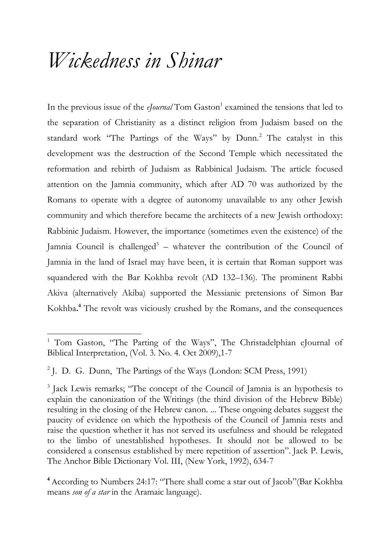## *Wickedness in Shinar*

In the previous issue of the *eJournal* Tom Gaston<sup>1</sup> examined the tensions that led to the separation of Christianity as a distinct religion from Judaism based on the standard work "The Partings of the Ways" by Dunn.<sup>2</sup> The catalyst in this development was the destruction of the Second Temple which necessitated the reformation and rebirth of Judaism as Rabbinical Judaism. The article focused attention on the Jamnia community, which after AD 70 was authorized by the Romans to operate with a degree of autonomy unavailable to any other Jewish community and which therefore became the architects of a new Jewish orthodoxy: Rabbinic Judaism. However, the importance (sometimes even the existence) of the Jamnia Council is challenged<sup>3</sup> – whatever the contribution of the Council of Jamnia in the land of Israel may have been, it is certain that Roman support was squandered with the Bar Kokhba revolt (AD 132–136). The prominent Rabbi Akiva (alternatively Akiba) supported the Messianic pretensions of Simon Bar Kokhba**. <sup>4</sup>** The revolt was viciously crushed by the Romans, and the consequences

<sup>&</sup>lt;sup>1</sup> Tom Gaston, "The Parting of the Ways", The Christadelphian eJournal of Biblical Interpretation, (Vol. 3. No. 4. Oct 2009),1-7

<sup>&</sup>lt;sup>2</sup> J. D. G. Dunn, The Partings of the Ways (London: SCM Press, 1991)

<sup>&</sup>lt;sup>3</sup> Jack Lewis remarks; "The concept of the Council of Jamnia is an hypothesis to explain the canonization of the Writings (the third division of the Hebrew Bible) resulting in the closing of the Hebrew canon. ... These ongoing debates suggest the paucity of evidence on which the hypothesis of the Council of Jamnia rests and raise the question whether it has not served its usefulness and should be relegated to the limbo of unestablished hypotheses. It should not be allowed to be considered a consensus established by mere repetition of assertion". Jack P. Lewis, The Anchor Bible Dictionary Vol. III, (New York, 1992), 634-7

**<sup>4</sup>** According to Numbers 24:17: "There shall come a star out of Jacob"(Bar Kokhba means *son of a star* in the Aramaic language).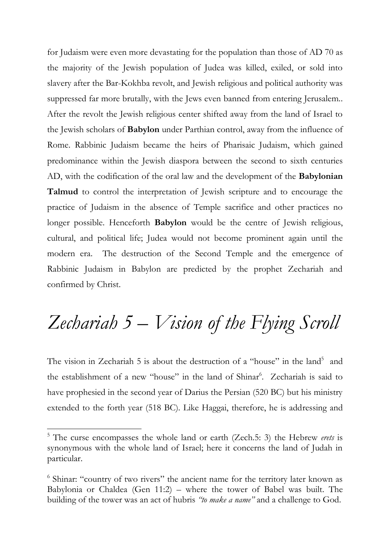for Judaism were even more devastating for the population than those of AD 70 as the majority of the Jewish population of Judea was killed, exiled, or sold into slavery after the Bar-Kokhba revolt, and Jewish religious and political authority was suppressed far more brutally, with the Jews even banned from entering Jerusalem.. After the revolt the Jewish religious center shifted away from the land of Israel to the Jewish scholars of **Babylon** under Parthian control, away from the influence of Rome. Rabbinic Judaism became the heirs of Pharisaic Judaism, which gained predominance within the Jewish diaspora between the second to sixth centuries AD, with the codification of the oral law and the development of the **Babylonian Talmud** to control the interpretation of Jewish scripture and to encourage the practice of Judaism in the absence of Temple sacrifice and other practices no longer possible. Henceforth **Babylon** would be the centre of Jewish religious, cultural, and political life; Judea would not become prominent again until the modern era. The destruction of the Second Temple and the emergence of Rabbinic Judaism in Babylon are predicted by the prophet Zechariah and confirmed by Christ.

### *Zechariah 5 – Vision of the Flying Scroll*

The vision in Zechariah 5 is about the destruction of a "house" in the land<sup>5</sup> and the establishment of a new "house" in the land of Shinar<sup>6</sup>. Zechariah is said to have prophesied in the second year of Darius the Persian (520 BC) but his ministry extended to the forth year (518 BC). Like Haggai, therefore, he is addressing and

<sup>5</sup> The curse encompasses the whole land or earth (Zech.5: 3) the Hebrew *erets* is synonymous with the whole land of Israel; here it concerns the land of Judah in particular.

<sup>&</sup>lt;sup>6</sup> Shinar: "country of two rivers" the ancient name for the territory later known as Babylonia or Chaldea (Gen 11:2) – where the tower of Babel was built. The building of the tower was an act of hubris *"to make a name"* and a challenge to God.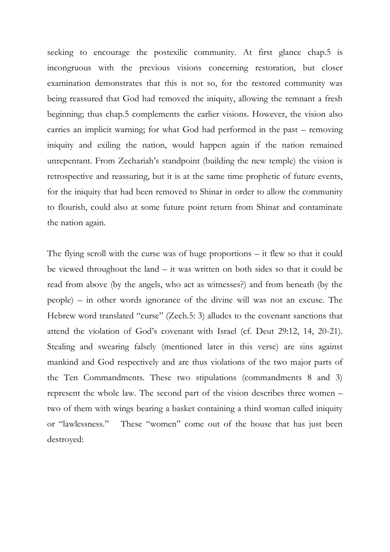seeking to encourage the postexilic community. At first glance chap.5 is incongruous with the previous visions concerning restoration, but closer examination demonstrates that this is not so, for the restored community was being reassured that God had removed the iniquity, allowing the remnant a fresh beginning; thus chap.5 complements the earlier visions. However, the vision also carries an implicit warning; for what God had performed in the past – removing iniquity and exiling the nation, would happen again if the nation remained unrepentant. From Zechariah's standpoint (building the new temple) the vision is retrospective and reassuring, but it is at the same time prophetic of future events, for the iniquity that had been removed to Shinar in order to allow the community to flourish, could also at some future point return from Shinar and contaminate the nation again.

The flying scroll with the curse was of huge proportions – it flew so that it could be viewed throughout the land – it was written on both sides so that it could be read from above (by the angels, who act as witnesses?) and from beneath (by the people) – in other words ignorance of the divine will was not an excuse. The Hebrew word translated "curse" (Zech.5: 3) alludes to the covenant sanctions that attend the violation of God's covenant with Israel (cf. Deut 29:12, 14, 20-21). Stealing and swearing falsely (mentioned later in this verse) are sins against mankind and God respectively and are thus violations of the two major parts of the Ten Commandments. These two stipulations (commandments 8 and 3) represent the whole law. The second part of the vision describes three women – two of them with wings bearing a basket containing a third woman called iniquity or "lawlessness." These "women" come out of the house that has just been destroyed: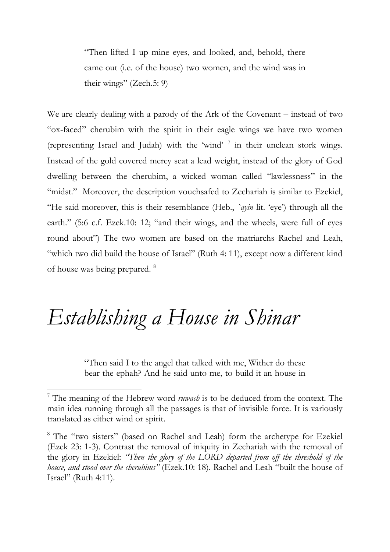"Then lifted I up mine eyes, and looked, and, behold, there came out (i.e. of the house) two women, and the wind was in their wings" (Zech.5: 9)

We are clearly dealing with a parody of the Ark of the Covenant – instead of two "ox-faced" cherubim with the spirit in their eagle wings we have two women (representing Israel and Judah) with the 'wind' <sup>7</sup> in their unclean stork wings. Instead of the gold covered mercy seat a lead weight, instead of the glory of God dwelling between the cherubim, a wicked woman called "lawlessness" in the "midst." Moreover, the description vouchsafed to Zechariah is similar to Ezekiel, "He said moreover, this is their resemblance (Heb., *`ayin* lit. 'eye') through all the earth." (5:6 c.f. Ezek.10: 12; "and their wings, and the wheels, were full of eyes round about") The two women are based on the matriarchs Rachel and Leah, "which two did build the house of Israel" (Ruth 4: 11), except now a different kind of house was being prepared. <sup>8</sup>

# *Establishing a House in Shinar*

1

"Then said I to the angel that talked with me, Wither do these bear the ephah? And he said unto me, to build it an house in

<sup>7</sup> The meaning of the Hebrew word *ruwach* is to be deduced from the context. The main idea running through all the passages is that of invisible force. It is variously translated as either wind or spirit.

<sup>8</sup> The "two sisters" (based on Rachel and Leah) form the archetype for Ezekiel (Ezek 23: 1-3). Contrast the removal of iniquity in Zechariah with the removal of the glory in Ezekiel: *"Then the glory of the LORD departed from off the threshold of the house, and stood over the cherubims"* (Ezek.10: 18). Rachel and Leah "built the house of Israel" (Ruth 4:11).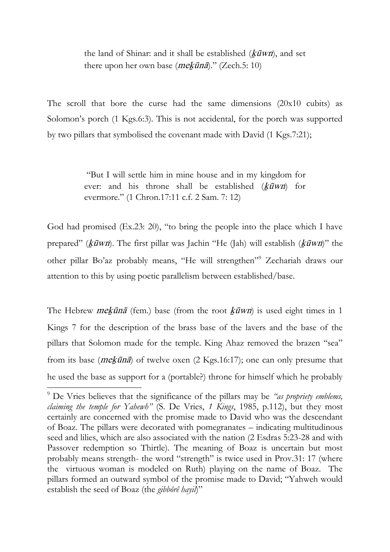the land of Shinar: and it shall be established  $(k\bar{u}wn)$ , and set there upon her own base  $(mekūnā).$ " (Zech.5: 10)

The scroll that bore the curse had the same dimensions (20x10 cubits) as Solomon's porch (1 Kgs.6:3). This is not accidental, for the porch was supported by two pillars that symbolised the covenant made with David (1 Kgs.7:21);

> "But I will settle him in mine house and in my kingdom for ever: and his throne shall be established  $(k\bar{u}wn)$  for evermore." (1 Chron.17:11 c.f. 2 Sam. 7: 12)

God had promised (Ex.23: 20), "to bring the people into the place which I have prepared" ( $k\bar{u}$ wn). The first pillar was Jachin "He (Jah) will establish ( $k\bar{u}$ wn)" the other pillar Bo'az probably means, "He will strengthen"<sup>9</sup> Zechariah draws our attention to this by using poetic parallelism between established/base.

The Hebrew *mekūnā* (fem.) base (from the root  $\frac{k \overline{u} w}{n}$ ) is used eight times in 1 Kings 7 for the description of the brass base of the lavers and the base of the pillars that Solomon made for the temple. King Ahaz removed the brazen "sea" from its base ( $me\frac{k}{\overline{u}}$  of twelve oxen (2 Kgs.16:17); one can only presume that he used the base as support for a (portable?) throne for himself which he probably

<sup>9</sup> De Vries believes that the significance of the pillars may be *"as propriety emblems, claiming the temple for Yahewh"* (S. De Vries, *1 Kings*, 1985, p.112), but they most certainly are concerned with the promise made to David who was the descendant of Boaz. The pillars were decorated with pomegranates – indicating multitudinous seed and lilies, which are also associated with the nation (2 Esdras 5:23-28 and with Passover redemption so Thirtle). The meaning of Boaz is uncertain but most probably means strength- the word "strength" is twice used in Prov.31: 17 (where the virtuous woman is modeled on Ruth) playing on the name of Boaz. The pillars formed an outward symbol of the promise made to David; "Yahweh would establish the seed of Boaz (the *gibbôrê hayil*)"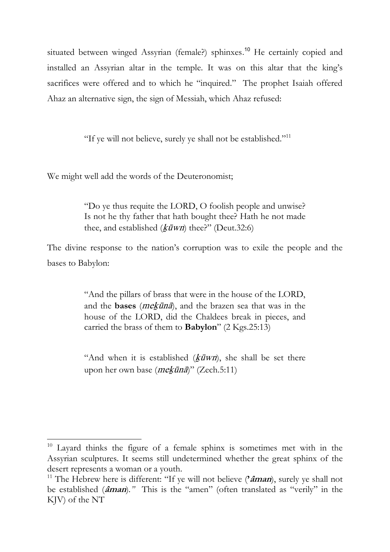situated between winged Assyrian (female?) sphinxes.<sup>10</sup> He certainly copied and installed an Assyrian altar in the temple. It was on this altar that the king's sacrifices were offered and to which he "inquired." The prophet Isaiah offered Ahaz an alternative sign, the sign of Messiah, which Ahaz refused:

"If ye will not believe, surely ye shall not be established."<sup>11</sup>

We might well add the words of the Deuteronomist;

1

"Do ye thus requite the LORD, O foolish people and unwise? Is not he thy father that hath bought thee? Hath he not made thee, and established ( $k\bar{u}$ *wn*) thee?" (Deut.32:6)

The divine response to the nation's corruption was to exile the people and the bases to Babylon:

> "And the pillars of brass that were in the house of the LORD, and the **bases** (mekùnä), and the brazen sea that was in the house of the LORD, did the Chaldees break in pieces, and carried the brass of them to **Babylon**" (2 Kgs.25:13)

> "And when it is established  $(k\bar{u}wn)$ , she shall be set there upon her own base (mekùnä)" (Zech.5:11)

 $10$  Layard thinks the figure of a female sphinx is sometimes met with in the Assyrian sculptures. It seems still undetermined whether the great sphinx of the desert represents a woman or a youth.

<sup>11</sup> The Hebrew here is different: "If ye will not believe (**'âman**), surely ye shall not be established (**âman**)*."* This is the "amen" (often translated as "verily" in the KJV) of the NT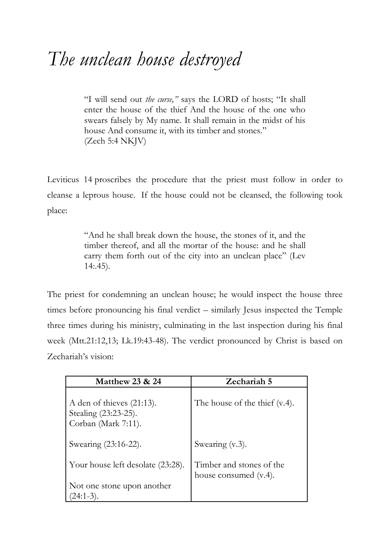#### *The unclean house destroyed*

"I will send out *the curse,"* says the LORD of hosts; "It shall enter the house of the thief And the house of the one who swears falsely by My name. It shall remain in the midst of his house And consume it, with its timber and stones." (Zech 5:4 NKJV)

Leviticus 14 proscribes the procedure that the priest must follow in order to cleanse a leprous house. If the house could not be cleansed, the following took place:

> "And he shall break down the house, the stones of it, and the timber thereof, and all the mortar of the house: and he shall carry them forth out of the city into an unclean place" (Lev 14:.45).

The priest for condemning an unclean house; he would inspect the house three times before pronouncing his final verdict – similarly Jesus inspected the Temple three times during his ministry, culminating in the last inspection during his final week (Mtt.21:12,13; Lk.19:43-48). The verdict pronounced by Christ is based on Zechariah's vision:

| <b>Matthew 23 &amp; 24</b>                                                  | Zechariah 5                                       |
|-----------------------------------------------------------------------------|---------------------------------------------------|
| A den of thieves $(21:13)$ .<br>Stealing (23:23-25).<br>Corban (Mark 7:11). | The house of the thief (v.4).                     |
| Swearing (23:16-22).                                                        | Swearing (v.3).                                   |
| Your house left desolate (23:28).                                           | Timber and stones of the<br>house consumed (v.4). |
| Not one stone upon another<br>$(24:1-3)$ .                                  |                                                   |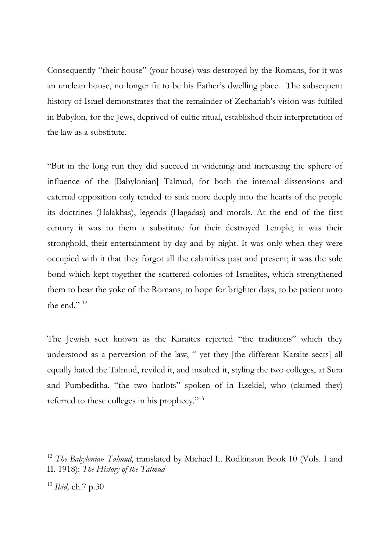Consequently "their house" (your house) was destroyed by the Romans, for it was an unclean house, no longer fit to be his Father's dwelling place. The subsequent history of Israel demonstrates that the remainder of Zechariah's vision was fulfiled in Babylon, for the Jews, deprived of cultic ritual, established their interpretation of the law as a substitute.

"But in the long run they did succeed in widening and increasing the sphere of influence of the [Babylonian] Talmud, for both the internal dissensions and external opposition only tended to sink more deeply into the hearts of the people its doctrines (Halakhas), legends (Hagadas) and morals. At the end of the first century it was to them a substitute for their destroyed Temple; it was their stronghold, their entertainment by day and by night. It was only when they were occupied with it that they forgot all the calamities past and present; it was the sole bond which kept together the scattered colonies of Israelites, which strengthened them to bear the yoke of the Romans, to hope for brighter days, to be patient unto the end."<sup>12</sup>

The Jewish sect known as the Karaites rejected "the traditions" which they understood as a perversion of the law, " yet they [the different Karaite sects] all equally hated the Talmud, reviled it, and insulted it, styling the two colleges, at Sura and Pumbeditha, "the two harlots" spoken of in Ezekiel, who (claimed they) referred to these colleges in his prophecy."<sup>13</sup>

<sup>&</sup>lt;sup>12</sup> The Babylonian Talmud, translated by Michael L. Rodkinson Book 10 (Vols. I and II, 1918): *The History of the Talmud*

<sup>13</sup> *Ibid,* ch.7 p.30